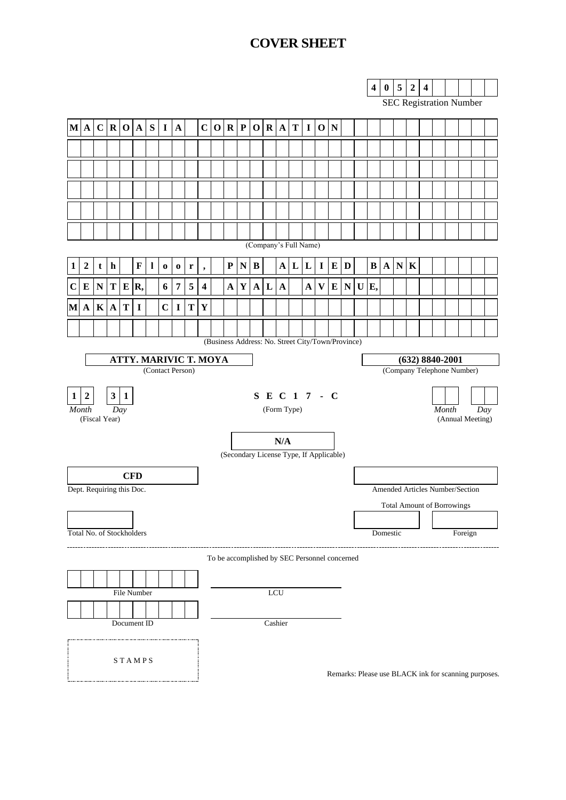## **COVER SHEET**

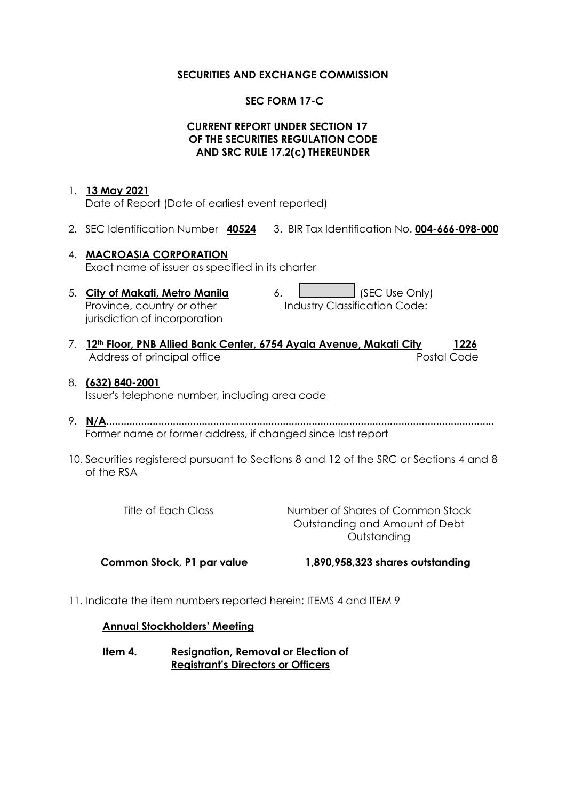#### **SECURITIES AND EXCHANGE COMMISSION**

## **SEC FORM 17-C**

## **CURRENT REPORT UNDER SECTION 17 OF THE SECURITIES REGULATION CODE AND SRC RULE 17.2(c) THEREUNDER**

## 1. **13 May 2021**

Date of Report (Date of earliest event reported)

2. SEC Identification Number **40524** 3. BIR Tax Identification No. **004-666-098-000**

# 4. **MACROASIA CORPORATION** Exact name of issuer as specified in its charter

Province, country or other jurisdiction of incorporation

5. **City of Makati, Metro Manila** 6. **City of Makati, Metro Manila** 6. Industry Classification Code:

- 7. **12th Floor, PNB Allied Bank Center, 6754 Ayala Avenue, Makati City 1226** Address of principal office **Postal Code** Postal Code
- 8. **(632) 840-2001** Issuer's telephone number, including area code
- 9. **N/A**...................................................................................................................................... Former name or former address, if changed since last report
- 10. Securities registered pursuant to Sections 8 and 12 of the SRC or Sections 4 and 8 of the RSA

| Title of Each Class | Number of Shares of Common Stock |
|---------------------|----------------------------------|
|                     | Outstanding and Amount of Debt   |
|                     | Outstanding                      |
|                     |                                  |

 **Common Stock, P1 par value 1,890,958,323 shares outstanding**

11. Indicate the item numbers reported herein: ITEMS 4 and ITEM 9

#### **Annual Stockholders' Meeting**

**Item 4. Resignation, Removal or Election of Registrant's Directors or Officers**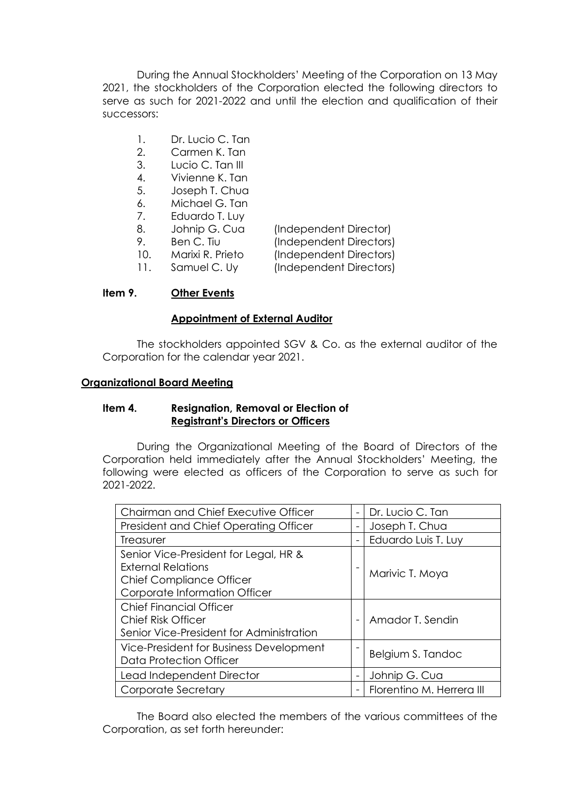During the Annual Stockholders' Meeting of the Corporation on 13 May 2021, the stockholders of the Corporation elected the following directors to serve as such for 2021-2022 and until the election and qualification of their successors:

- 1. Dr. Lucio C. Tan
- 2. Carmen K. Tan
- 3. Lucio C. Tan III
- 4. Vivienne K. Tan
- 5. Joseph T. Chua
- 6. Michael G. Tan
- 7. Eduardo T. Luy
- 8. Johnip G. Cua (Independent Director)
- 

9. Ben C. Tiu (Independent Directors) 10. Marixi R. Prieto (Independent Directors) 11. Samuel C. Uy (Independent Directors)

## **Item 9. Other Events**

## **Appointment of External Auditor**

The stockholders appointed SGV & Co. as the external auditor of the Corporation for the calendar year 2021.

#### **Organizational Board Meeting**

#### **Item 4. Resignation, Removal or Election of Registrant's Directors or Officers**

During the Organizational Meeting of the Board of Directors of the Corporation held immediately after the Annual Stockholders' Meeting, the following were elected as officers of the Corporation to serve as such for 2021-2022.

| Chairman and Chief Executive Officer     |                          | Dr. Lucio C. Tan          |
|------------------------------------------|--------------------------|---------------------------|
| President and Chief Operating Officer    | $\overline{\phantom{0}}$ | Joseph T. Chua            |
| Treasurer                                |                          | Eduardo Luis T. Luy       |
| Senior Vice-President for Legal, HR &    |                          |                           |
| <b>External Relations</b>                |                          |                           |
| <b>Chief Compliance Officer</b>          |                          | Marivic T. Moya           |
| Corporate Information Officer            |                          |                           |
| <b>Chief Financial Officer</b>           |                          |                           |
| <b>Chief Risk Officer</b>                |                          | Amador T. Sendin          |
| Senior Vice-President for Administration |                          |                           |
| Vice-President for Business Development  |                          |                           |
| Data Protection Officer                  |                          | Belgium S. Tandoc         |
| Lead Independent Director                |                          | Johnip G. Cua             |
| Corporate Secretary                      |                          | Florentino M. Herrera III |

The Board also elected the members of the various committees of the Corporation, as set forth hereunder: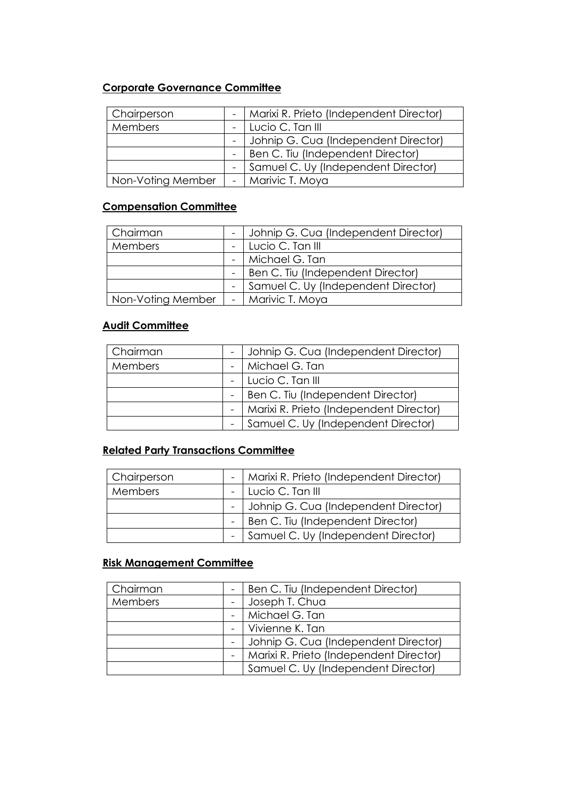## **Corporate Governance Committee**

| Chairperson       | -   Marixi R. Prieto (Independent Director) |
|-------------------|---------------------------------------------|
| <b>Members</b>    | Lucio C. Tan III                            |
|                   | Johnip G. Cua (Independent Director)        |
|                   | Ben C. Tiu (Independent Director)           |
|                   | - Samuel C. Uy (Independent Director)       |
| Non-Voting Member | -   Marivic T. Moya                         |

## **Compensation Committee**

| Chairman          | - Johnip G. Cua (Independent Director) |
|-------------------|----------------------------------------|
| Members           | - Lucio C. Tan III                     |
|                   | -   Michael G. Tan                     |
|                   | - Ben C. Tiu (Independent Director)    |
|                   | - Samuel C. Uy (Independent Director)  |
| Non-Voting Member | -   Marivic T. Moya                    |

## **Audit Committee**

| Chairman       | - Johnip G. Cua (Independent Director)      |
|----------------|---------------------------------------------|
| <b>Members</b> | -   Michael G. Tan                          |
|                | - Lucio C. Tan III                          |
|                | -   Ben C. Tiu (Independent Director)       |
|                | -   Marixi R. Prieto (Independent Director) |
|                | Samuel C. Uy (Independent Director)         |

## **Related Party Transactions Committee**

| Chairperson    | -   Marixi R. Prieto (Independent Director) |
|----------------|---------------------------------------------|
| <b>Members</b> | - Lucio C. Tan III                          |
|                | - Johnip G. Cua (Independent Director)      |
|                | -   Ben C. Tiu (Independent Director)       |
|                | - Samuel C. Uy (Independent Director)       |

## **Risk Management Committee**

| Chairman       | Ben C. Tiu (Independent Director)       |
|----------------|-----------------------------------------|
| <b>Members</b> | Joseph T. Chua                          |
|                | -   Michael G. Tan                      |
|                | - Vivienne K. Tan                       |
|                | Johnip G. Cua (Independent Director)    |
|                | Marixi R. Prieto (Independent Director) |
|                | Samuel C. Uy (Independent Director)     |